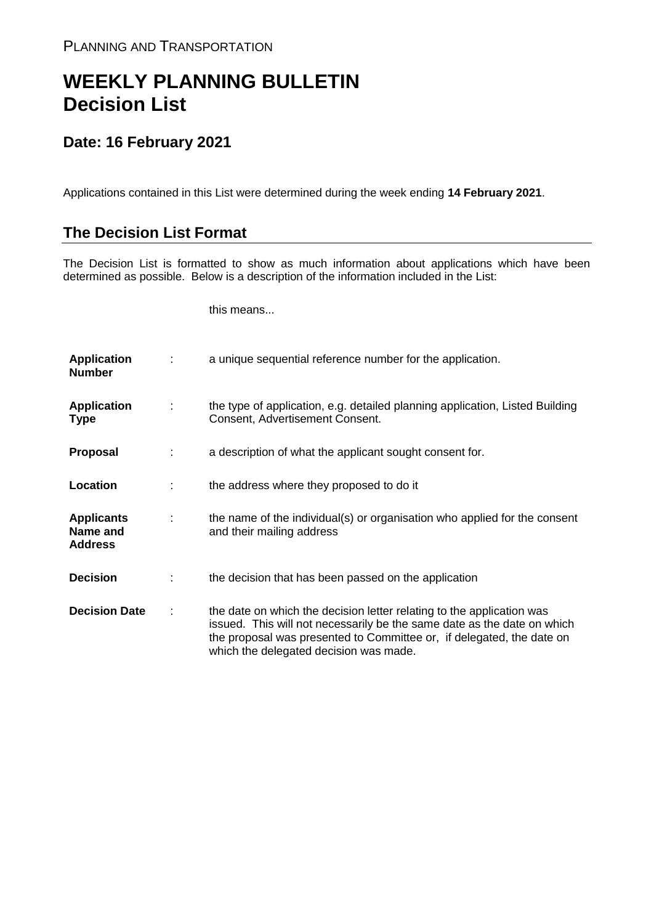## **WEEKLY PLANNING BULLETIN Decision List**

## **Date: 16 February 2021**

Applications contained in this List were determined during the week ending **14 February 2021**.

## **The Decision List Format**

The Decision List is formatted to show as much information about applications which have been determined as possible. Below is a description of the information included in the List:

this means...

| <b>Application</b><br><b>Number</b>             |   | a unique sequential reference number for the application.                                                                                                                                                                                                           |
|-------------------------------------------------|---|---------------------------------------------------------------------------------------------------------------------------------------------------------------------------------------------------------------------------------------------------------------------|
| <b>Application</b><br><b>Type</b>               | ÷ | the type of application, e.g. detailed planning application, Listed Building<br>Consent, Advertisement Consent.                                                                                                                                                     |
| Proposal                                        |   | a description of what the applicant sought consent for.                                                                                                                                                                                                             |
| Location                                        |   | the address where they proposed to do it                                                                                                                                                                                                                            |
| <b>Applicants</b><br>Name and<br><b>Address</b> | ÷ | the name of the individual(s) or organisation who applied for the consent<br>and their mailing address                                                                                                                                                              |
| <b>Decision</b>                                 |   | the decision that has been passed on the application                                                                                                                                                                                                                |
| <b>Decision Date</b>                            | ÷ | the date on which the decision letter relating to the application was<br>issued. This will not necessarily be the same date as the date on which<br>the proposal was presented to Committee or, if delegated, the date on<br>which the delegated decision was made. |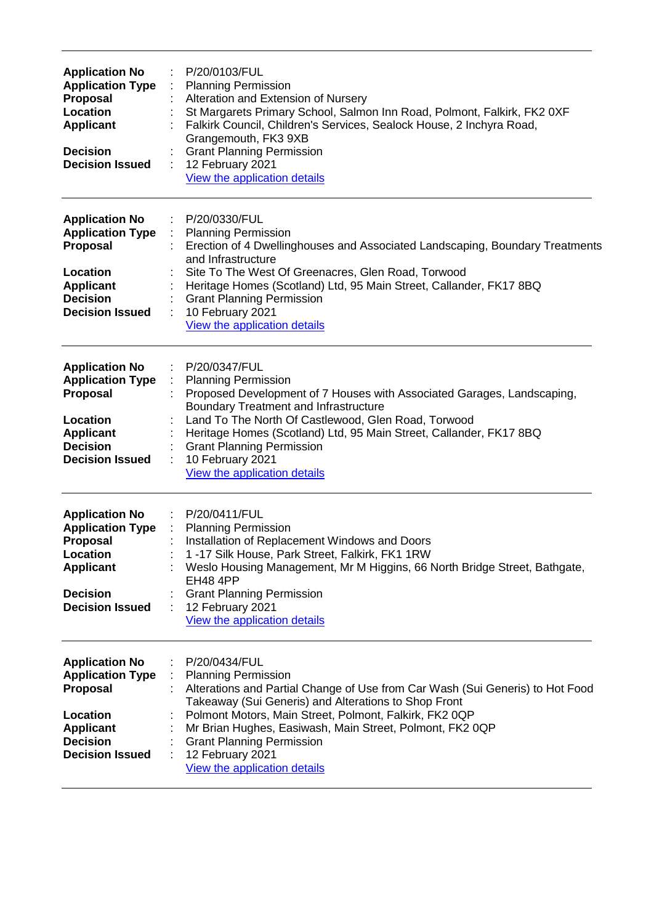| <b>Application No</b><br><b>Application Type</b><br>Proposal<br>Location<br><b>Applicant</b><br><b>Decision</b><br><b>Decision Issued</b>        | P/20/0103/FUL<br>÷<br><b>Planning Permission</b><br>Alteration and Extension of Nursery<br>St Margarets Primary School, Salmon Inn Road, Polmont, Falkirk, FK2 0XF<br>Falkirk Council, Children's Services, Sealock House, 2 Inchyra Road,<br>Grangemouth, FK3 9XB<br><b>Grant Planning Permission</b><br>12 February 2021<br>÷<br>View the application details                                    |
|--------------------------------------------------------------------------------------------------------------------------------------------------|----------------------------------------------------------------------------------------------------------------------------------------------------------------------------------------------------------------------------------------------------------------------------------------------------------------------------------------------------------------------------------------------------|
| <b>Application No</b><br><b>Application Type</b><br>Proposal<br>Location<br><b>Applicant</b><br><b>Decision</b><br><b>Decision Issued</b>        | P/20/0330/FUL<br><b>Planning Permission</b><br>Erection of 4 Dwellinghouses and Associated Landscaping, Boundary Treatments<br>and Infrastructure<br>Site To The West Of Greenacres, Glen Road, Torwood<br>Heritage Homes (Scotland) Ltd, 95 Main Street, Callander, FK17 8BQ<br><b>Grant Planning Permission</b><br>10 February 2021<br>View the application details                              |
| <b>Application No</b><br><b>Application Type</b><br><b>Proposal</b><br>Location<br><b>Applicant</b><br><b>Decision</b><br><b>Decision Issued</b> | P/20/0347/FUL<br><b>Planning Permission</b><br>Proposed Development of 7 Houses with Associated Garages, Landscaping,<br><b>Boundary Treatment and Infrastructure</b><br>Land To The North Of Castlewood, Glen Road, Torwood<br>Heritage Homes (Scotland) Ltd, 95 Main Street, Callander, FK17 8BQ<br><b>Grant Planning Permission</b><br>10 February 2021<br>View the application details         |
| <b>Application No</b><br><b>Application Type</b><br><b>Proposal</b><br>Location<br><b>Applicant</b><br><b>Decision</b><br><b>Decision Issued</b> | P/20/0411/FUL<br><b>Planning Permission</b><br>Installation of Replacement Windows and Doors<br>1-17 Silk House, Park Street, Falkirk, FK1 1RW<br>Weslo Housing Management, Mr M Higgins, 66 North Bridge Street, Bathgate,<br><b>EH48 4PP</b><br><b>Grant Planning Permission</b><br>12 February 2021<br>÷<br>View the application details                                                        |
| <b>Application No</b><br><b>Application Type</b><br><b>Proposal</b><br>Location<br><b>Applicant</b><br><b>Decision</b><br><b>Decision Issued</b> | P/20/0434/FUL<br><b>Planning Permission</b><br>Alterations and Partial Change of Use from Car Wash (Sui Generis) to Hot Food<br>Takeaway (Sui Generis) and Alterations to Shop Front<br>Polmont Motors, Main Street, Polmont, Falkirk, FK2 0QP<br>Mr Brian Hughes, Easiwash, Main Street, Polmont, FK2 0QP<br><b>Grant Planning Permission</b><br>12 February 2021<br>View the application details |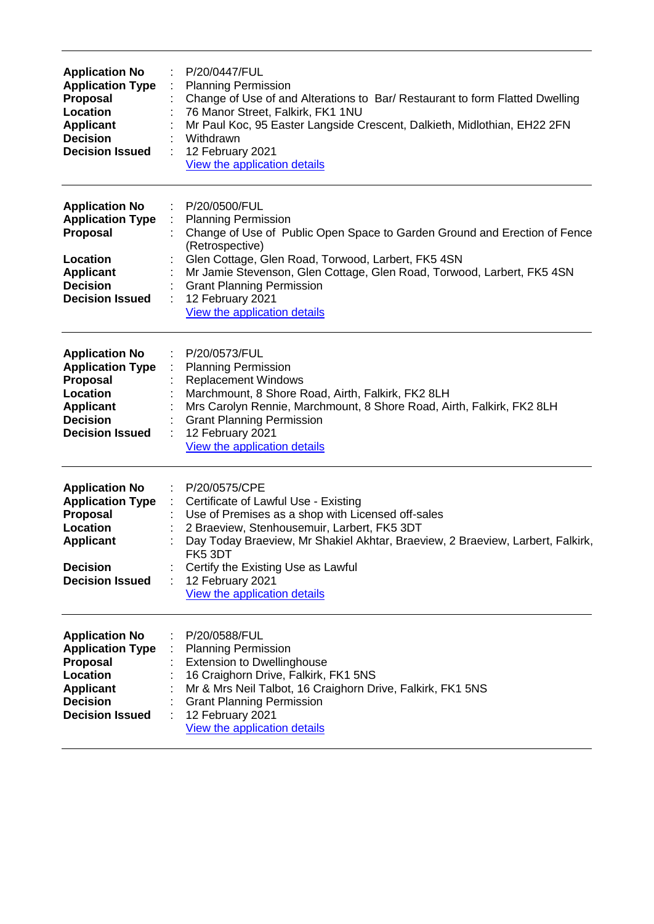| <b>Application No</b><br><b>Application Type</b><br><b>Proposal</b><br>Location<br><b>Applicant</b><br><b>Decision</b><br><b>Decision Issued</b>        | P/20/0447/FUL<br><b>Planning Permission</b><br>Change of Use of and Alterations to Bar/ Restaurant to form Flatted Dwelling<br>76 Manor Street, Falkirk, FK1 1NU<br>Mr Paul Koc, 95 Easter Langside Crescent, Dalkieth, Midlothian, EH22 2FN<br>Withdrawn<br>12 February 2021<br>÷<br>View the application details                                                  |
|---------------------------------------------------------------------------------------------------------------------------------------------------------|---------------------------------------------------------------------------------------------------------------------------------------------------------------------------------------------------------------------------------------------------------------------------------------------------------------------------------------------------------------------|
| <b>Application No</b><br><b>Application Type</b><br><b>Proposal</b><br>Location<br><b>Applicant</b><br><b>Decision</b><br><b>Decision Issued</b>        | P/20/0500/FUL<br><b>Planning Permission</b><br>Change of Use of Public Open Space to Garden Ground and Erection of Fence<br>(Retrospective)<br>Glen Cottage, Glen Road, Torwood, Larbert, FK5 4SN<br>Mr Jamie Stevenson, Glen Cottage, Glen Road, Torwood, Larbert, FK5 4SN<br><b>Grant Planning Permission</b><br>12 February 2021<br>View the application details |
| <b>Application No</b><br><b>Application Type</b><br>Proposal<br>Location<br><b>Applicant</b><br><b>Decision</b><br><b>Decision Issued</b>               | P/20/0573/FUL<br><b>Planning Permission</b><br><b>Replacement Windows</b><br>Marchmount, 8 Shore Road, Airth, Falkirk, FK2 8LH<br>Mrs Carolyn Rennie, Marchmount, 8 Shore Road, Airth, Falkirk, FK2 8LH<br><b>Grant Planning Permission</b><br>12 February 2021<br>View the application details                                                                     |
| <b>Application No</b><br><b>Application Type</b><br><b>Proposal</b><br>Location<br><b>Applicant</b><br><b>Decision</b><br><b>Decision Issued</b>        | P/20/0575/CPE<br>÷<br>Certificate of Lawful Use - Existing<br>Use of Premises as a shop with Licensed off-sales<br>2 Braeview, Stenhousemuir, Larbert, FK5 3DT<br>Day Today Braeview, Mr Shakiel Akhtar, Braeview, 2 Braeview, Larbert, Falkirk,<br>FK53DT<br>Certify the Existing Use as Lawful<br>12 February 2021<br>View the application details                |
| <b>Application No</b><br><b>Application Type</b><br><b>Proposal</b><br><b>Location</b><br><b>Applicant</b><br><b>Decision</b><br><b>Decision Issued</b> | P/20/0588/FUL<br><b>Planning Permission</b><br><b>Extension to Dwellinghouse</b><br>16 Craighorn Drive, Falkirk, FK1 5NS<br>Mr & Mrs Neil Talbot, 16 Craighorn Drive, Falkirk, FK1 5NS<br><b>Grant Planning Permission</b><br>12 February 2021<br>View the application details                                                                                      |